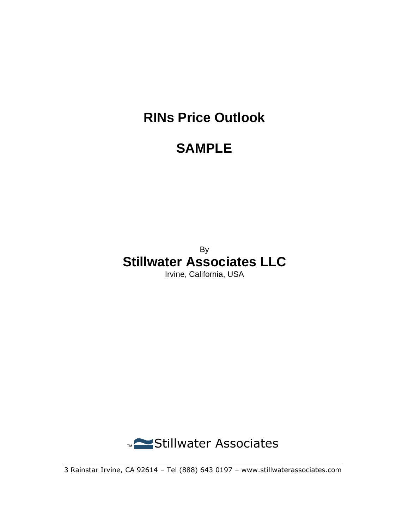# **RINs Price Outlook**

# **SAMPLE**

### By **Stillwater Associates LLC**

Irvine, California, USA



3 Rainstar Irvine, CA 92614 – Tel (888) 643 0197 – www.stillwaterassociates.com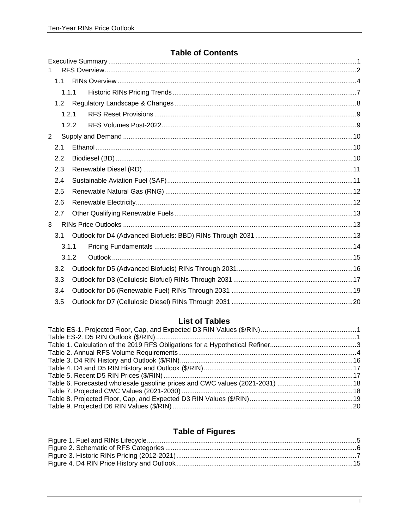#### **Table of Contents**

| 1.             |       |  |  |  |  |  |
|----------------|-------|--|--|--|--|--|
|                | 1.1   |  |  |  |  |  |
|                | 1.1.1 |  |  |  |  |  |
|                | 1.2   |  |  |  |  |  |
|                | 1.2.1 |  |  |  |  |  |
|                | 1.2.2 |  |  |  |  |  |
| $\overline{2}$ |       |  |  |  |  |  |
| 2.1            |       |  |  |  |  |  |
| 2.2            |       |  |  |  |  |  |
|                | 2.3   |  |  |  |  |  |
|                | 2.4   |  |  |  |  |  |
|                | 2.5   |  |  |  |  |  |
|                | 2.6   |  |  |  |  |  |
|                | 2.7   |  |  |  |  |  |
| 3              |       |  |  |  |  |  |
|                | 3.1   |  |  |  |  |  |
|                | 3.1.1 |  |  |  |  |  |
|                | 3.1.2 |  |  |  |  |  |
|                | 3.2   |  |  |  |  |  |
|                | 3.3   |  |  |  |  |  |
|                | 3.4   |  |  |  |  |  |
|                | 3.5   |  |  |  |  |  |

### **List of Tables**

### **Table of Figures**